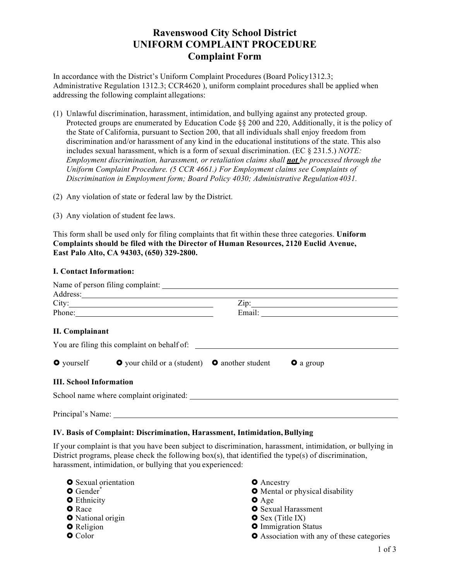# **Ravenswood City School District UNIFORM COMPLAINT PROCEDURE Complaint Form**

In accordance with the District's Uniform Complaint Procedures (Board Policy1312.3; Administrative Regulation 1312.3; CCR4620 ), uniform complaint procedures shall be applied when addressing the following complaint allegations:

- (1) Unlawful discrimination, harassment, intimidation, and bullying against any protected group. Protected groups are enumerated by Education Code §§ 200 and 220, Additionally, it is the policy of the State of California, pursuant to Section 200, that all individuals shall enjoy freedom from discrimination and/or harassment of any kind in the educational institutions of the state. This also includes sexual harassment, which is a form of sexual discrimination. (EC § 231.5.) *NOTE: Employment discrimination, harassment, or retaliation claims shall not be processed through the Uniform Complaint Procedure. (5 CCR 4661.) For Employment claims see Complaints of Discrimination in Employment form; Board Policy 4030; Administrative Regulation4031.*
- (2) Any violation of state or federal law by the District.
- (3) Any violation of student fee laws.

This form shall be used only for filing complaints that fit within these three categories. **Uniform Complaints should be filed with the Director of Human Resources, 2120 Euclid Avenue, East Palo Alto, CA 94303, (650) 329-2800.**

### **I. Contact Information:**

|                                | Name of person filing complaint:                            |                  |  |
|--------------------------------|-------------------------------------------------------------|------------------|--|
|                                |                                                             |                  |  |
|                                | City:                                                       | $\chi$ ip:       |  |
|                                | Phone:                                                      |                  |  |
| <b>II.</b> Complainant         |                                                             |                  |  |
| $\bullet$ yourself             | <b>O</b> your child or a (student) <b>O</b> another student | <b>O</b> a group |  |
| <b>III. School Information</b> |                                                             |                  |  |
|                                | School name where complaint originated:                     |                  |  |
| Principal's Name:              |                                                             |                  |  |

#### **IV. Basis of Complaint: Discrimination, Harassment, Intimidation,Bullying**

If your complaint is that you have been subject to discrimination, harassment, intimidation, or bullying in District programs, please check the following box(s), that identified the type(s) of discrimination, harassment, intimidation, or bullying that you experienced:

- **O** Sexual orientation
- $O$  Gender<sup>\*</sup>
- **O** Ethnicity
- **O** Race
- **O** National origin
- **O** Religion
- **O** Color
- **O** Ancestry
- **•** Mental or physical disability
- $O$  Age
- **O** Sexual Harassment
- $\bullet$  Sex (Title IX)
- **O** Immigration Status
- $\bullet$  Association with any of these categories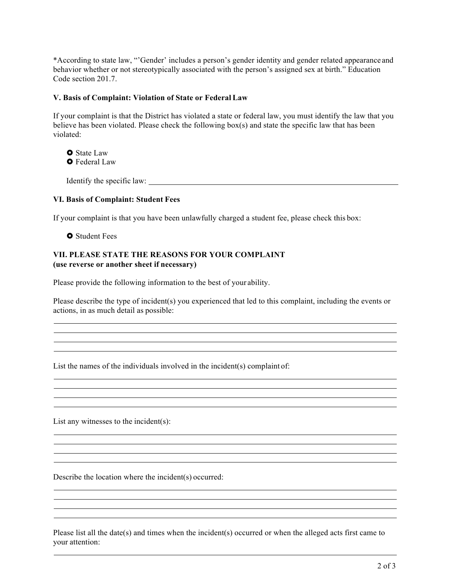\*According to state law, "'Gender' includes a person's gender identity and gender related appearance and behavior whether or not stereotypically associated with the person's assigned sex at birth." Education Code section 201.7.

### **V. Basis of Complaint: Violation of State or Federal Law**

If your complaint is that the District has violated a state or federal law, you must identify the law that you believe has been violated. Please check the following box(s) and state the specific law that has been violated:

**O** State Law **O** Federal Law

Identify the specific law:  $\Box$ 

## **VI. Basis of Complaint: Student Fees**

If your complaint is that you have been unlawfully charged a student fee, please check this box:

**O** Student Fees

## **VII. PLEASE STATE THE REASONS FOR YOUR COMPLAINT (use reverse or another sheet if necessary)**

Please provide the following information to the best of your ability.

Please describe the type of incident(s) you experienced that led to this complaint, including the events or actions, in as much detail as possible:

List the names of the individuals involved in the incident(s) complaint of:

List any witnesses to the incident(s):

Describe the location where the incident(s) occurred:

Please list all the date(s) and times when the incident(s) occurred or when the alleged acts first came to your attention: